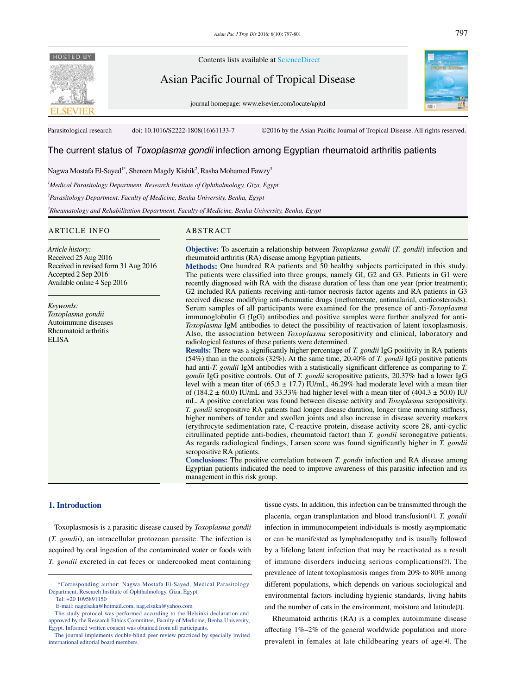

Contents lists available at ScienceDirect

Asian Pacific Journal of Tropical Disease

journal homepage: www.elsevier.com/locate/apjtd



Parasitological research doi: 10.1016/S2222-1808(16)61133-7 ©2016 by the Asian Pacific Journal of Tropical Disease. All rights reserved.

# The current status of *Toxoplasma gondii* infection among Egyptian rheumatoid arthritis patients

# Nagwa Mostafa El-Sayed<sup>1\*</sup>, Shereen Magdy Kishik<sup>2</sup>, Rasha Mohamed Fawzy<sup>3</sup>

*1 Medical Parasitology Department, Research Institute of Ophthalmology, Giza, Egypt*

*2 Parasitology Department, Faculty of Medicine, Benha University, Benha, Egypt*

*3 Rheumatology and Rehabilitation Department, Faculty of Medicine, Benha University, Benha, Egypt*

## ARTICLE INFO ABSTRACT

*Article history:* Received 25 Aug 2016 Received in revised form 31 Aug 2016 Accepted 2 Sep 2016

*Keywords: Toxoplasma gondii* Autoimmune diseases Rheumatoid arthritis ELISA

Available online 4 Sep 2016

**Objective:** To ascertain a relationship between *Toxoplasma gondii* (*T. gondii*) infection and rheumatoid arthritis (RA) disease among Egyptian patients.

**Methods:** One hundred RA patients and 50 healthy subjects participated in this study. The patients were classified into three groups, namely GI, G2 and G3. Patients in G1 were recently diagnosed with RA with the disease duration of less than one year (prior treatment); G2 included RA patients receiving anti-tumor necrosis factor agents and RA patients in G3 received disease modifying anti-rheumatic drugs (methotrexate, antimalarial, corticosteroids). Serum samples of all participants were examined for the presence of anti-*Toxoplasma*  immunoglobulin G *(*IgG) antibodies and positive samples were further analyzed for anti-*Toxoplasma* IgM antibodies to detect the possibility of reactivation of latent toxoplasmosis. Also, the association between *Toxoplasma* seropositivity and clinical, laboratory and radiological features of these patients were determined.

**Results:** There was a significantly higher percentage of *T. gondii* IgG positivity in RA patients (54%) than in the controls (32%). At the same time, 20.40% of *T. gondii* IgG positive patients had anti-*T. gondii* IgM antibodies with a statistically significant difference as comparing to *T. gondii* IgG positive controls. Out of *T. gondii* seropositive patients, 20.37% had a lower IgG level with a mean titer of  $(65.3 \pm 17.7)$  IU/mL, 46.29% had moderate level with a mean titer of (184.2  $\pm$  60.0) IU/mL and 33.33% had higher level with a mean titer of (404.3  $\pm$  50.0) IU/ mL. A positive correlation was found between disease activity and *Toxoplasma* seropositivity. *T. gondii* seropositive RA patients had longer disease duration, longer time morning stiffness, higher numbers of tender and swollen joints and also increase in disease severity markers (erythrocyte sedimentation rate, C-reactive protein, disease activity score 28, anti-cyclic citrullinated peptide anti-bodies, rheumatoid factor) than *T. gondii* seronegative patients. As regards radiological findings, Larsen score was found significantly higher in *T. gondii*  seropositive RA patients.

**Conclusions:** The positive correlation between *T. gondii* infection and RA disease among Egyptian patients indicated the need to improve awareness of this parasitic infection and its management in this risk group.

## **1. Introduction**

 Toxoplasmosis is a parasitic disease caused by *Toxoplasma gondii*  (*T. gondii*), an intracellular protozoan parasite. The infection is acquired by oral ingestion of the contaminated water or foods with *T. gondii* excreted in cat feces or undercooked meat containing

tissue cysts. In addition, this infection can be transmitted through the placenta, organ transplantation and blood transfusion[1]. *T. gondii*  infection in immunocompetent individuals is mostly asymptomatic or can be manifested as lymphadenopathy and is usually followed by a lifelong latent infection that may be reactivated as a result of immune disorders inducing serious complications[2]. The prevalence of latent toxoplasmosis ranges from 20% to 80% among different populations, which depends on various sociological and environmental factors including hygienic standards, living habits and the number of cats in the environment, moisture and latitude[3].

 Rheumatoid arthritis (RA) is a complex autoimmune disease affecting 1%–2% of the general worldwide population and more prevalent in females at late childbearing years of age[4]. The

 <sup>\*</sup>Corresponding author: Nagwa Mostafa El-Sayed, Medical Parasitology Department, Research Institute of Ophthalmology, Giza, Egypt.

Tel: +20 1095891150

E-mail: nagelsaka@hotmail.com, nag.elsaka@yahoo.com

The study protocol was performed according to the Helsinki declaration and approved by the Research Ethics Committee, Faculty of Medicine, Benha University, Egypt. Informed written consent was obtained from all participants.

The journal implements double-blind peer review practiced by specially invited international editorial board members.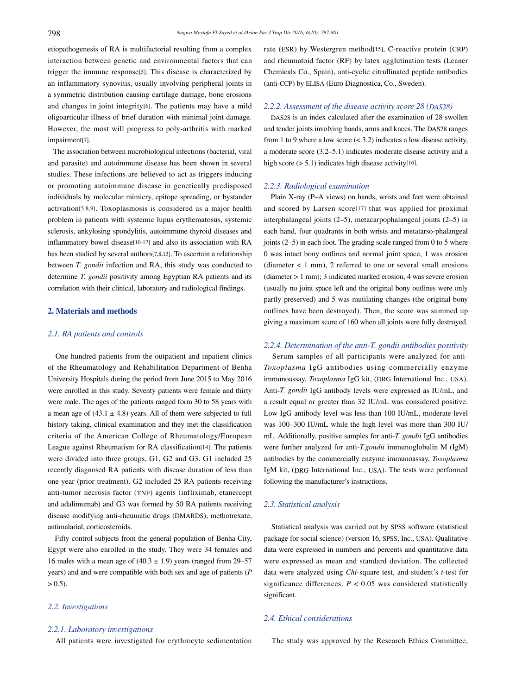etiopathogenesis of RA is multifactorial resulting from a complex interaction between genetic and environmental factors that can trigger the immune response[5]. This disease is characterized by an inflammatory synovitis, usually involving peripheral joints in a symmetric distribution causing cartilage damage, bone erosions and changes in joint integrity[6]. The patients may have a mild oligoarticular illness of brief duration with minimal joint damage. However, the most will progress to poly-arthritis with marked impairment[7].

 The association between microbiological infections (bacterial, viral and parasite) and autoimmune disease has been shown in several studies. These infections are believed to act as triggers inducing or promoting autoimmune disease in genetically predisposed individuals by molecular mimicry, epitope spreading, or bystander activation[5,8,9]. Toxoplasmosis is considered as a major health problem in patients with systemic lupus erythematosus, systemic sclerosis, ankylosing spondylitis, autoimmune thyroid diseases and inflammatory bowel disease[10-12] and also its association with RA has been studied by several authors[7,8,13]. To ascertain a relationship between *T. gondii* infection and RA, this study was conducted to determine *T. gondii* positivity among Egyptian RA patients and its correlation with their clinical, laboratory and radiological findings.

## **2. Materials and methods**

## *2.1. RA patients and controls*

 One hundred patients from the outpatient and inpatient clinics of the Rheumatology and Rehabilitation Department of Benha University Hospitals during the period from June 2015 to May 2016 were enrolled in this study. Seventy patients were female and thirty were male. The ages of the patients ranged form 30 to 58 years with a mean age of  $(43.1 \pm 4.8)$  years. All of them were subjected to full history taking, clinical examination and they met the classification criteria of the American College of Rheumatology/European League against Rheumatism for RA classification[14]. The patients were divided into three groups, G1, G2 and G3. G1 included 25 recently diagnosed RA patients with disease duration of less than one year (prior treatment). G2 included 25 RA patients receiving anti-tumor necrosis factor (TNF) agents (infliximab, etanercept and adalimumab) and G3 was formed by 50 RA patients receiving disease modifying anti-rheumatic drugs (DMARDS), methotrexate, antimalarial, corticosteroids.

 Fifty control subjects from the general population of Benha City, Egypt were also enrolled in the study. They were 34 females and 16 males with a mean age of  $(40.3 \pm 1.9)$  years (ranged from 29–57 years) and and were compatible with both sex and age of patients (*P*  $> 0.5$ ).

# *2.2. Investigations*

# *2.2.1. Laboratory investigations*

All patients were investigated for erythrocyte sedimentation

rate (ESR) by Westergren method[15], C-reactive protein (CRP) and rheumatoid factor (RF) by latex agglutination tests (Leaner Chemicals Co., Spain), anti-cyclic citrullinated peptide antibodies (anti-CCP) by ELISA (Euro Diagnostica, Co., Sweden).

# *2.2.2. Assessment of the disease activity score 28 (DAS28)*

 DAS28 is an index calculated after the examination of 28 swollen and tender joints involving hands, arms and knees. The DAS28 ranges from 1 to 9 where a low score  $( $3.2$ ) indicates a low disease activity,$ a moderate score (3.2–5.1) indicates moderate disease activity and a high score  $(> 5.1)$  indicates high disease activity[16].

## *2.2.3. Radiological examination*

 Plain X-ray (P–A views) on hands, wrists and feet were obtained and scored by Larsen score[17] that was applied for proximal interphalangeal joints (2–5), metacarpophalangeal joints (2–5) in each hand, four quadrants in both wrists and metatarso-phalangeal joints (2–5) in each foot. The grading scale ranged from 0 to 5 where 0 was intact bony outlines and normal joint space, 1 was erosion (diameter < 1 mm), 2 referred to one or several small erosions (diameter > 1 mm); 3 indicated marked erosion, 4 was severe erosion (usually no joint space left and the original bony outlines were only partly preserved) and 5 was mutilating changes (the original bony outlines have been destroyed). Then, the score was summed up giving a maximum score of 160 when all joints were fully destroyed.

# *2.2.4. Determination of the anti-T. gondii antibodies positivity*

 Serum samples of all participants were analyzed for anti-*Toxoplasma* IgG antibodies using commercially enzyme immunoassay, *Toxoplasma* IgG kit, (DRG International Inc., USA). Anti-*T. gondii* IgG antibody levels were expressed as IU/mL, and a result equal or greater than 32 IU/mL was considered positive. Low IgG antibody level was less than 100 IU/mL, moderate level was 100–300 IU/mL while the high level was more than 300 IU/ mL. Additionally, positive samples for anti-*T. gondii* IgG antibodies were further analyzed for anti-*T.gondii* immunoglobulin M (IgM) antibodies by the commercially enzyme immunoassay, *Toxoplasma*  IgM kit, (DRG International Inc., USA). The tests were performed following the manufacturer's instructions.

# *2.3. Statistical analysis*

 Statistical analysis was carried out by SPSS software (statistical package for social science) (version 16, SPSS, Inc., USA). Qualitative data were expressed in numbers and percents and quantitative data were expressed as mean and standard deviation. The collected data were analyzed using *Chi*-square test, and student's *t*-test for significance differences.  $P < 0.05$  was considered statistically significant.

## *2.4. Ethical considerations*

The study was approved by the Research Ethics Committee,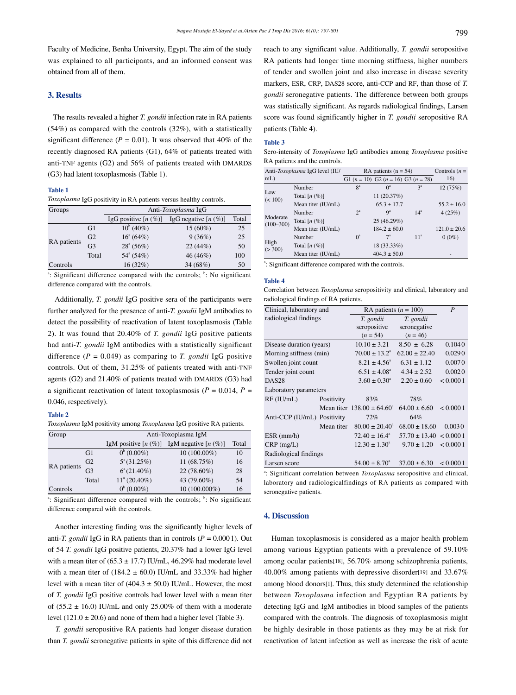Faculty of Medicine, Benha University, Egypt. The aim of the study was explained to all participants, and an informed consent was obtained from all of them.

# **3. Results**

 The results revealed a higher *T. gondii* infection rate in RA patients (54%) as compared with the controls (32%), with a statistically significant difference ( $P = 0.01$ ). It was observed that 40% of the recently diagnosed RA patients (G1), 64% of patients treated with anti-TNF agents (G2) and 56% of patients treated with DMARDS (G3) had latent toxoplasmosis (Table 1).

#### **Table 1**

*Toxoplasma* IgG positivity in RA patients versus healthy controls.

| Groups      |                | Anti-Toxoplasma IgG     |                           |       |  |
|-------------|----------------|-------------------------|---------------------------|-------|--|
|             |                | IgG positive $[n (\%)]$ | IgG negative $[n \ (\%)]$ | Total |  |
| RA patients | G1             | $10^{b}$ (40%)          | $15(60\%)$                | 25    |  |
|             | G <sub>2</sub> | $16^{\circ}$ (64%)      | 9(36%)                    | 25    |  |
|             | G <sub>3</sub> | $28^{\circ}$ (56%)      | 22(44%)                   | 50    |  |
|             | Total          | $54^{\circ}$ (54%)      | 46 (46%)                  | 100   |  |
| Controls    |                | 16(32%)                 | 34 (68%)                  | 50    |  |

<sup>a</sup>: Significant difference compared with the controls;  $\overline{b}$ : No significant difference compared with the controls.

 Additionally, *T. gondii* IgG positive sera of the participants were further analyzed for the presence of anti-*T. gondii* IgM antibodies to detect the possibility of reactivation of latent toxoplasmosis (Table 2). It was found that 20.40% of *T. gondii* IgG positive patients had anti-*T. gondii* IgM antibodies with a statistically significant difference  $(P = 0.049)$  as comparing to *T. gondii* IgG positive controls. Out of them, 31.25% of patients treated with anti-TNF agents (G2) and 21.40% of patients treated with DMARDS (G3) had a significant reactivation of latent toxoplasmosis ( $P = 0.014$ ,  $P =$ 0.046, respectively).

## **Table 2**

*Toxoplasma* IgM positivity among *Toxoplasma* IgG positive RA patients.

| Group       |                | Anti-Toxoplasma IgM    |                         |       |  |
|-------------|----------------|------------------------|-------------------------|-------|--|
|             |                | IgM positive $[n (%)]$ | IgM negative $[n (\%)]$ | Total |  |
| RA patients | G1             | $0^{b}$ (0.00%)        | $10(100.00\%)$          | 10    |  |
|             | G <sub>2</sub> | $5^{\circ}$ (31.25%)   | 11 (68.75%)             | 16    |  |
|             | G <sub>3</sub> | $6^{\circ}(21.40\%)$   | 22 (78.60%)             | 28    |  |
|             | Total          | $11^{\circ}$ (20.40%)  | 43 (79.60%)             | 54    |  |
| Controls    |                | $(0.00\%)$             | 10 (100.000%)           | 16    |  |

<sup>a</sup>: Significant difference compared with the controls;  $\overline{b}$ : No significant difference compared with the controls.

 Another interesting finding was the significantly higher levels of anti-*T. gondii* IgG in RA patients than in controls ( $P = 0.0001$ ). Out of 54 *T. gondii* IgG positive patients, 20.37% had a lower IgG level with a mean titer of  $(65.3 \pm 17.7)$  IU/mL, 46.29% had moderate level with a mean titer of  $(184.2 \pm 60.0)$  IU/mL and 33.33% had higher level with a mean titer of  $(404.3 \pm 50.0)$  IU/mL. However, the most of *T. gondii* IgG positive controls had lower level with a mean titer of (55.2  $\pm$  16.0) IU/mL and only 25.00% of them with a moderate level  $(121.0 \pm 20.6)$  and none of them had a higher level (Table 3).

 *T. gondii* seropositive RA patients had longer disease duration than *T. gondii* seronegative patients in spite of this difference did not reach to any significant value. Additionally, *T. gondii* seropositive RA patients had longer time morning stiffness, higher numbers of tender and swollen joint and also increase in disease severity markers, ESR, CRP, DAS28 score, anti-CCP and RF, than those of *T. gondii* seronegative patients. The difference between both groups was statistically significant. As regards radiological findings, Larsen score was found significantly higher in *T. gondii* seropositive RA patients (Table 4).

#### **Table 3**

Sero-intensity of *Toxoplasma* IgG antibodies among *Toxoplasma* positive RA patients and the controls.

| Anti-Toxoplasma IgG level (IU/ |                    | RA patients $(n = 54)$ |                                           |                 | Controls $(n =$  |
|--------------------------------|--------------------|------------------------|-------------------------------------------|-----------------|------------------|
| $mL$ )                         |                    |                        | G1 $(n = 10)$ G2 $(n = 16)$ G3 $(n = 28)$ |                 | 16)              |
| Low<br>(< 100)                 | Number             | $8^a$                  | O <sup>a</sup>                            | $3^a$           | 12(75%)          |
|                                | Total $[n (\%)]$   |                        | 11(20.37%)                                |                 |                  |
|                                | Mean titer (IU/mL) |                        | $65.3 \pm 17.7$                           |                 | $55.2 \pm 16.0$  |
| Moderate<br>$(100 - 300)$      | Number             | $2^a$                  | $Q^a$                                     | 14 <sup>a</sup> | 4(25%)           |
|                                | Total $[n (\%)]$   |                        | 25(46.29%)                                |                 |                  |
|                                | Mean titer (IU/mL) |                        | $184.2 \pm 60.0$                          |                 | $121.0 \pm 20.6$ |
| High<br>(>300)                 | Number             | $0^{\circ}$            | $7^{\rm a}$                               | 11 <sup>a</sup> | $0(0\%)$         |
|                                | Total $[n (\%)]$   |                        | 18 (33.33%)                               |                 |                  |
|                                | Mean titer (IU/mL) |                        | $404.3 \pm 50.0$                          |                 | -                |

<sup>a</sup>: Significant difference compared with the controls.

#### **Table 4**

Correlation between *Toxoplasma* seropositivity and clinical, laboratory and radiological findings of RA patients.

| Clinical, laboratory and    |            | RA patients $(n = 100)$               | P                            |          |
|-----------------------------|------------|---------------------------------------|------------------------------|----------|
| radiological findings       |            | T. gondii                             | T. gondii                    |          |
|                             |            | seropositive                          | seronegative                 |          |
|                             |            | $(n = 54)$                            | $(n = 46)$                   |          |
| Disease duration (years)    |            | $10.10 \pm 3.21$                      | $8.50 \pm 6.28$              | 0.1040   |
| Morning stiffness (min)     |            | $70.00 \pm 13.2^{\circ}$              | $62.00 \pm 22.40$            | 0.0290   |
| Swollen joint count         |            | $8.21 \pm 4.56^{\circ}$               | $6.31 \pm 1.12$              | 0.0070   |
| Tender joint count          |            | $6.51 \pm 4.08^{\circ}$               | $4.34 \pm 2.52$              | 0.0020   |
| DAS <sub>28</sub>           |            | $3.60 \pm 0.30^{\circ}$               | $2.20 \pm 0.60$              | < 0.0001 |
| Laboratory parameters       |            |                                       |                              |          |
| $RF$ (IU/mL)                | Positivity | 83%                                   | 78%                          |          |
|                             |            | Mean titer $138.00 \pm 64.60^{\circ}$ | $64.00 \pm 6.60$             | < 0.0001 |
| Anti-CCP (IU/mL) Positivity |            | 72%                                   | 64%                          |          |
|                             | Mean titer | $80.00 \pm 20.40^{\circ}$             | $68.00 \pm 18.60$            | 0.0030   |
| $ESR$ (mm/h)                |            | $72.40 \pm 16.4^{\circ}$              | $57.70 \pm 13.40 \le 0.0001$ |          |
| $CRP$ (mg/L)                |            | $12.30 \pm 1.30^{\circ}$              | $9.70 \pm 1.20$              | < 0.0001 |
| Radiological findings       |            |                                       |                              |          |
| Larsen score                |            | $54.00 \pm 8.70^{\circ}$              | $37.00 \pm 6.30$             | < 0.0001 |

<sup>a</sup>: Significant correlation between *Toxoplasma* seropositive and clinical, laboratory and radiologicalfindings of RA patients as compared with seronegative patients.

#### **4. Discussion**

 Human toxoplasmosis is considered as a major health problem among various Egyptian patients with a prevalence of 59.10% among ocular patients[18], 56.70% among schizophrenia patients, 40.00% among patients with depressive disorder[19] and 33.67% among blood donors[1]. Thus, this study determined the relationship between *Toxoplasma* infection and Egyptian RA patients by detecting IgG and IgM antibodies in blood samples of the patients compared with the controls. The diagnosis of toxoplasmosis might be highly desirable in those patients as they may be at risk for reactivation of latent infection as well as increase the risk of acute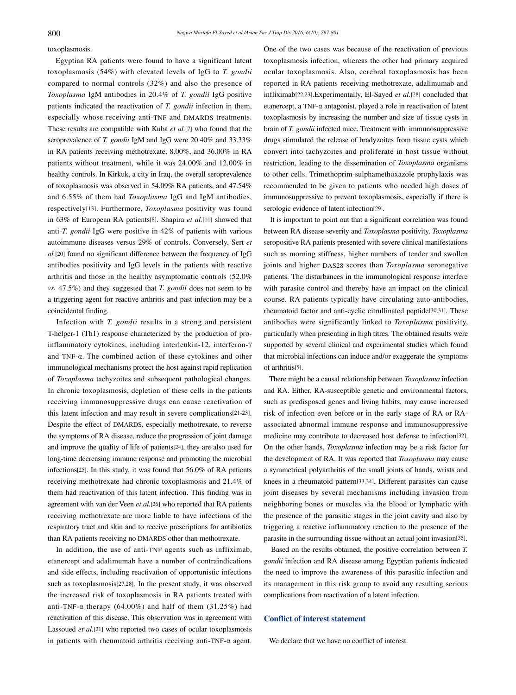toxoplasmosis.

 Egyptian RA patients were found to have a significant latent toxoplasmosis (54%) with elevated levels of IgG to *T. gondii* compared to normal controls (32%) and also the presence of *Toxoplasma* IgM antibodies in 20.4% of *T. gondii* IgG positive patients indicated the reactivation of *T. gondii* infection in them, especially whose receiving anti-TNF and DMARDS treatments. These results are compatible with Kuba *et al.*[7] who found that the seroprevalence of *T. gondii* IgM and IgG were 20.40% and 33.33% in RA patients receiving methotrexate, 8.00%, and 36.00% in RA patients without treatment, while it was 24.00% and 12.00% in healthy controls. In Kirkuk, a city in Iraq, the overall seroprevalence of toxoplasmosis was observed in 54.09% RA patients, and 47.54% and 6.55% of them had *Toxoplasma* IgG and IgM antibodies, respectively[13]. Furthermore, *Toxoplasma* positivity was found in 63% of European RA patients[8]. Shapira *et al.*[11] showed that anti-*T. gondii* IgG were positive in 42% of patients with various autoimmune diseases versus 29% of controls. Conversely, Sert *et al.*[20] found no significant difference between the frequency of IgG antibodies positivity and IgG levels in the patients with reactive arthritis and those in the healthy asymptomatic controls (52.0% *vs.* 47.5%) and they suggested that *T. gondii* does not seem to be a triggering agent for reactive arthritis and past infection may be a coincidental finding.

 Infection with *T. gondii* results in a strong and persistent T-helper-1 (Th1) response characterized by the production of proinflammatory cytokines, including interleukin-12, interferon-γ and TNF-α. The combined action of these cytokines and other immunological mechanisms protect the host against rapid replication of *Toxoplasma* tachyzoites and subsequent pathological changes. In chronic toxoplasmosis, depletion of these cells in the patients receiving immunosuppressive drugs can cause reactivation of this latent infection and may result in severe complications[21-23]. Despite the effect of DMARDS, especially methotrexate, to reverse the symptoms of RA disease, reduce the progression of joint damage and improve the quality of life of patients[24], they are also used for long-time decreasing immune response and promoting the microbial infections[25]. In this study, it was found that 56.0% of RA patients receiving methotrexate had chronic toxoplasmosis and 21.4% of them had reactivation of this latent infection. This finding was in agreement with van der Veen *et al.*[26] who reported that RA patients receiving methotrexate are more liable to have infections of the respiratory tract and skin and to receive prescriptions for antibiotics than RA patients receiving no DMARDS other than methotrexate.

 In addition, the use of anti-TNF agents such as infliximab, etanercept and adalimumab have a number of contraindications and side effects, including reactivation of opportunistic infections such as toxoplasmosis[27,28]. In the present study, it was observed the increased risk of toxoplasmosis in RA patients treated with anti-TNF-α therapy (64.00%) and half of them (31.25%) had reactivation of this disease. This observation was in agreement with Lassoued *et al.*[21] who reported two cases of ocular toxoplasmosis in patients with rheumatoid arthritis receiving anti-TNF-α agent. One of the two cases was because of the reactivation of previous toxoplasmosis infection, whereas the other had primary acquired ocular toxoplasmosis. Also, cerebral toxoplasmosis has been reported in RA patients receiving methotrexate, adalimumab and infliximab[22,23].Experimentally, El-Sayed *et al.*[28] concluded that etanercept, a TNF-α antagonist, played a role in reactivation of latent toxoplasmosis by increasing the number and size of tissue cysts in brain of *T. gondii* infected mice. Treatment with immunosuppressive drugs stimulated the release of bradyzoites from tissue cysts which convert into tachyzoites and proliferate in host tissue without restriction, leading to the dissemination of *Toxoplasma* organisms to other cells. Trimethoprim-sulphamethoxazole prophylaxis was recommended to be given to patients who needed high doses of immunosuppressive to prevent toxoplasmosis, especially if there is serologic evidence of latent infection[29].

 It is important to point out that a significant correlation was found between RA disease severity and *Toxoplasma* positivity. *Toxoplasma* seropositive RA patients presented with severe clinical manifestations such as morning stiffness, higher numbers of tender and swollen joints and higher DAS28 scores than *Toxoplasma* seronegative patients. The disturbances in the immunological response interfere with parasite control and thereby have an impact on the clinical course. RA patients typically have circulating auto-antibodies, rheumatoid factor and anti-cyclic citrullinated peptide[30,31]. These antibodies were significantly linked to *Toxoplasma* positivity, particularly when presenting in high titres. The obtained results were supported by several clinical and experimental studies which found that microbial infections can induce and/or exaggerate the symptoms of arthritis[5].

 There might be a causal relationship between *Toxoplasma* infection and RA. Either, RA-susceptible genetic and environmental factors, such as predisposed genes and living habits, may cause increased risk of infection even before or in the early stage of RA or RAassociated abnormal immune response and immunosuppressive medicine may contribute to decreased host defense to infection[32]. On the other hands, *Toxoplasma* infection may be a risk factor for the development of RA. It was reported that *Toxoplasma* may cause a symmetrical polyarthritis of the small joints of hands, wrists and knees in a rheumatoid pattern[33,34]. Different parasites can cause joint diseases by several mechanisms including invasion from neighboring bones or muscles via the blood or lymphatic with the presence of the parasitic stages in the joint cavity and also by triggering a reactive inflammatory reaction to the presence of the parasite in the surrounding tissue without an actual joint invasion[35].

 Based on the results obtained, the positive correlation between *T. gondii* infection and RA disease among Egyptian patients indicated the need to improve the awareness of this parasitic infection and its management in this risk group to avoid any resulting serious complications from reactivation of a latent infection.

## **Conflict of interest statement**

We declare that we have no conflict of interest.